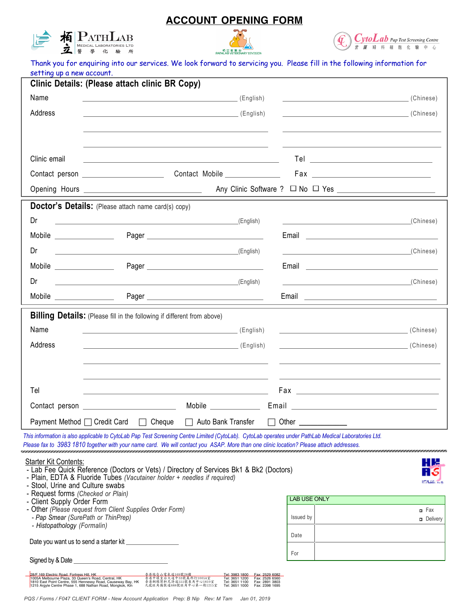# **ACCOUNT OPENING FORM**







Thank you for enquiring into our services. We look forward to servicing you. Please fill in the following information for setting up a new account.

|                                                                  | Clinic Details: (Please attach clinic BR Copy)                                                                                          |                                  |                                                                                                                                                                                                                                      |                   |
|------------------------------------------------------------------|-----------------------------------------------------------------------------------------------------------------------------------------|----------------------------------|--------------------------------------------------------------------------------------------------------------------------------------------------------------------------------------------------------------------------------------|-------------------|
| Name                                                             |                                                                                                                                         |                                  |                                                                                                                                                                                                                                      |                   |
| Address                                                          |                                                                                                                                         |                                  |                                                                                                                                                                                                                                      |                   |
|                                                                  |                                                                                                                                         |                                  |                                                                                                                                                                                                                                      |                   |
|                                                                  |                                                                                                                                         |                                  |                                                                                                                                                                                                                                      |                   |
| Clinic email                                                     | <u> 1989 - Johann Barn, amerikan besteman besteman besteman besteman besteman besteman besteman besteman bestema</u>                    |                                  |                                                                                                                                                                                                                                      |                   |
|                                                                  |                                                                                                                                         | Contact Mobile ______________    |                                                                                                                                                                                                                                      |                   |
|                                                                  |                                                                                                                                         |                                  |                                                                                                                                                                                                                                      |                   |
|                                                                  | Doctor's Details: (Please attach name card(s) copy)                                                                                     |                                  |                                                                                                                                                                                                                                      |                   |
| Dr                                                               | <u> 1989 - Andrea Stadt Britain, amerikansk politiker (</u>                                                                             | $(L$ English                     | <u>and the state of the state of the state of the state of the state of the state of the state of the state of the state of the state of the state of the state of the state of the state of the state of the state of the state</u> | (Chinese)         |
|                                                                  |                                                                                                                                         |                                  | Email <u>___________________________________</u>                                                                                                                                                                                     |                   |
| Dr                                                               | <u> 1989 - Johann Barbara, martxa alemaniar arg</u>                                                                                     | (English)                        | the control of the control of the control of the control of the control of                                                                                                                                                           | (Chinese)         |
|                                                                  |                                                                                                                                         |                                  | Email <b>Explorer Section Contract Contract Contract Contract Contract Contract Contract Contract Contract Contract Contract Contract Contract Contract Contract Contract Contract Contract Contract Contract Contract Contract </b> |                   |
| Dr                                                               | <u> 1989 - Johann Harry Harry Harry Harry Harry Harry Harry Harry Harry Harry Harry Harry Harry Harry Harry Harry</u>                   | (English)                        | <u> 1989 - Johann Stein, mars an de Brasilia (b. 1989)</u>                                                                                                                                                                           | (Chinese)         |
| Mobile ________________                                          |                                                                                                                                         |                                  |                                                                                                                                                                                                                                      |                   |
|                                                                  | <b>Billing Details:</b> (Please fill in the following if different from above)                                                          |                                  |                                                                                                                                                                                                                                      |                   |
| Name                                                             |                                                                                                                                         |                                  | (Chinese)                                                                                                                                                                                                                            |                   |
| Address                                                          |                                                                                                                                         |                                  | (Chinese)                                                                                                                                                                                                                            |                   |
|                                                                  |                                                                                                                                         |                                  |                                                                                                                                                                                                                                      |                   |
|                                                                  |                                                                                                                                         |                                  |                                                                                                                                                                                                                                      |                   |
| Tel                                                              |                                                                                                                                         |                                  |                                                                                                                                                                                                                                      |                   |
|                                                                  |                                                                                                                                         |                                  |                                                                                                                                                                                                                                      |                   |
|                                                                  | Payment Method □ Credit Card □ Cheque                                                                                                   | $\Box$ Auto Bank Transfer $\Box$ | Other                                                                                                                                                                                                                                |                   |
|                                                                  | Please fax to 3983 1810 together with your name card. We will contact you ASAP. More than one clinic location? Please attach addresses. |                                  | This information is also applicable to CytoLab Pap Test Screening Centre Limited (CytoLab). CytoLab operates under PathLab Medical Laboratories Ltd.                                                                                 |                   |
| <b>Starter Kit Contents:</b>                                     |                                                                                                                                         |                                  |                                                                                                                                                                                                                                      | HE                |
|                                                                  | - Lab Fee Quick Reference (Doctors or Vets) / Directory of Services Bk1 & Bk2 (Doctors)                                                 |                                  |                                                                                                                                                                                                                                      |                   |
| - Stool, Urine and Culture swabs                                 | - Plain, EDTA & Fluoride Tubes (Vacutainer holder + needles if required)                                                                |                                  |                                                                                                                                                                                                                                      | <b>ICALSA TEX</b> |
| - Request forms (Checked or Plain)<br>- Client Supply Order Form |                                                                                                                                         |                                  | <b>LAB USE ONLY</b>                                                                                                                                                                                                                  |                   |
| - Pap Smear (SurePath or ThinPrep)                               | - Other (Please request from Client Supplies Order Form)                                                                                |                                  | Issued by                                                                                                                                                                                                                            | n Fax             |
| - Histopathology (Formalin)                                      |                                                                                                                                         |                                  |                                                                                                                                                                                                                                      | <b>n</b> Delivery |
| Date you want us to send a starter kit                           |                                                                                                                                         |                                  | Date                                                                                                                                                                                                                                 |                   |
| Signed by & Date                                                 |                                                                                                                                         |                                  | For                                                                                                                                                                                                                                  |                   |

| 28/F 169 Flectric Road, Fortress Hill, HK                   | 香港炮台山電氣道169號28樓         | Tel: 3983 1800 | Fax: 2529 6082 |
|-------------------------------------------------------------|-------------------------|----------------|----------------|
| 1005A Melbourne Plaza, 33 Queen's Road, Central, HK         | 香港中環皇后大道中33號萬邦行1005A室   | Tel: 3651 1200 | Fax: 2526 6560 |
| 1810 East Point Centre, 555 Hennessy Road, Causeway Bay, HK | 香港銅鑼灣軒尼詩道555號東角中心1810室  | Tel: 3651 1100 | Fax: 2891 3803 |
| 1215 Argyle Centre Phase 1, 688 Nathan Road, Mongkok, Kin   | 九龍旺角彌敦道688號旺角中心第一期1215室 | Tel: 3651 1000 | Fax: 2398 1695 |